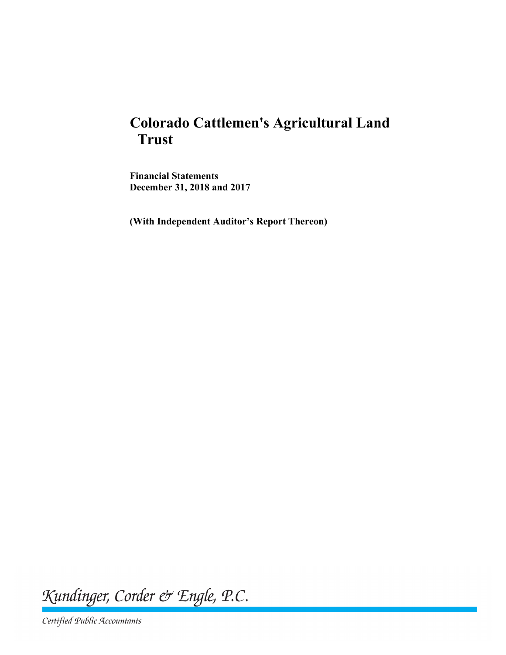# **Colorado Cattlemen's Agricultural Land Trust**

**Financial Statements December 31, 2018 and 2017**

**(With Independent Auditor's Report Thereon)**

Kundinger, Corder & Engle, P.C.

Certified Public Accountants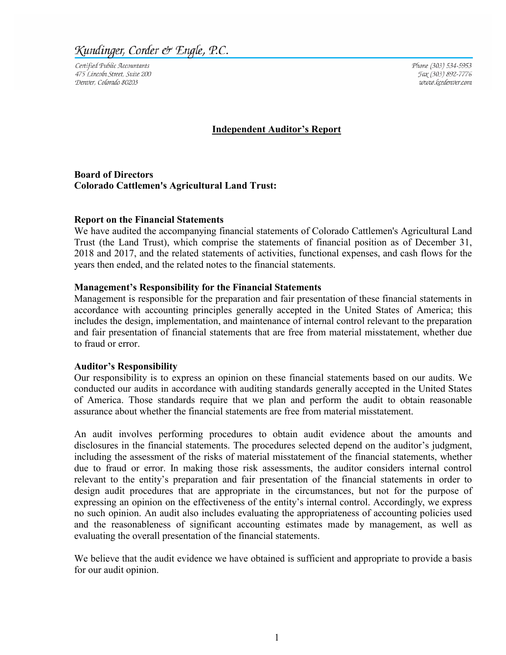Kundinger, Corder & Engle, P.C.

Certified Public Accountants 475 Lincoln Street, Suite 200 Denver, Colorado 80203

Phone (303) 534-5953 Fax (303) 892-7776 www.kcedenver.com

#### **Independent Auditor's Report**

**Board of Directors Colorado Cattlemen's Agricultural Land Trust:**

#### **Report on the Financial Statements**

We have audited the accompanying financial statements of Colorado Cattlemen's Agricultural Land Trust (the Land Trust), which comprise the statements of financial position as of December 31, 2018 and 2017, and the related statements of activities, functional expenses, and cash flows for the years then ended, and the related notes to the financial statements.

#### **Management's Responsibility for the Financial Statements**

Management is responsible for the preparation and fair presentation of these financial statements in accordance with accounting principles generally accepted in the United States of America; this includes the design, implementation, and maintenance of internal control relevant to the preparation and fair presentation of financial statements that are free from material misstatement, whether due to fraud or error.

#### **Auditor's Responsibility**

Our responsibility is to express an opinion on these financial statements based on our audits. We conducted our audits in accordance with auditing standards generally accepted in the United States of America. Those standards require that we plan and perform the audit to obtain reasonable assurance about whether the financial statements are free from material misstatement.

An audit involves performing procedures to obtain audit evidence about the amounts and disclosures in the financial statements. The procedures selected depend on the auditor's judgment, including the assessment of the risks of material misstatement of the financial statements, whether due to fraud or error. In making those risk assessments, the auditor considers internal control relevant to the entity's preparation and fair presentation of the financial statements in order to design audit procedures that are appropriate in the circumstances, but not for the purpose of expressing an opinion on the effectiveness of the entity's internal control. Accordingly, we express no such opinion. An audit also includes evaluating the appropriateness of accounting policies used and the reasonableness of significant accounting estimates made by management, as well as evaluating the overall presentation of the financial statements.

We believe that the audit evidence we have obtained is sufficient and appropriate to provide a basis for our audit opinion.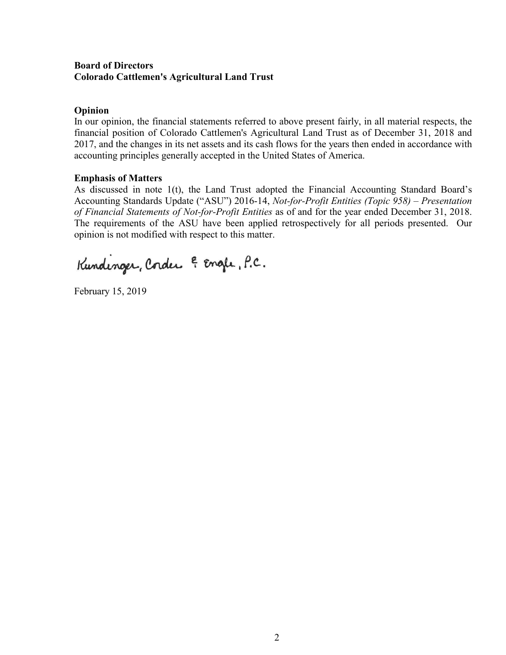# **Board of Directors Colorado Cattlemen's Agricultural Land Trust**

# **Opinion**

In our opinion, the financial statements referred to above present fairly, in all material respects, the financial position of Colorado Cattlemen's Agricultural Land Trust as of December 31, 2018 and 2017, and the changes in its net assets and its cash flows for the years then ended in accordance with accounting principles generally accepted in the United States of America.

#### **Emphasis of Matters**

As discussed in note 1(t), the Land Trust adopted the Financial Accounting Standard Board's Accounting Standards Update ("ASU") 2016-14, *Not-for-Profit Entities (Topic 958) – Presentation of Financial Statements of Not-for-Profit Entities* as of and for the year ended December 31, 2018. The requirements of the ASU have been applied retrospectively for all periods presented. Our opinion is not modified with respect to this matter.

Kundinger, Corder & Engle, P.C.

February 15, 2019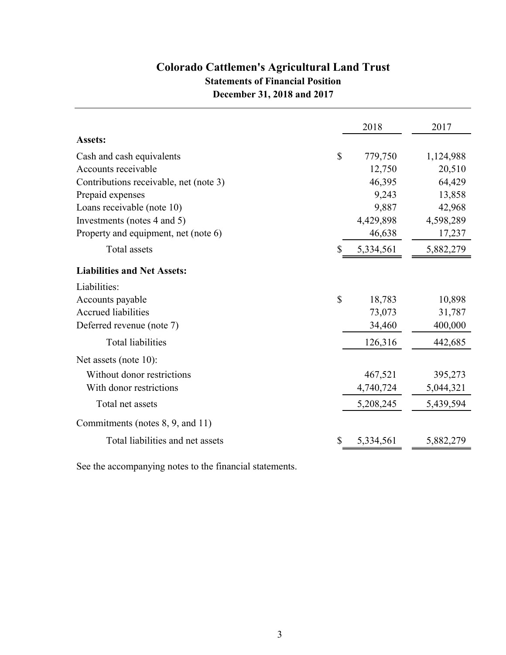# **Colorado Cattlemen's Agricultural Land Trust Statements of Financial Position December 31, 2018 and 2017**

|                                        |              | 2018      | 2017      |
|----------------------------------------|--------------|-----------|-----------|
| Assets:                                |              |           |           |
| Cash and cash equivalents              | \$           | 779,750   | 1,124,988 |
| Accounts receivable                    |              | 12,750    | 20,510    |
| Contributions receivable, net (note 3) |              | 46,395    | 64,429    |
| Prepaid expenses                       |              | 9,243     | 13,858    |
| Loans receivable (note 10)             |              | 9,887     | 42,968    |
| Investments (notes 4 and 5)            |              | 4,429,898 | 4,598,289 |
| Property and equipment, net (note 6)   |              | 46,638    | 17,237    |
| Total assets                           | \$           | 5,334,561 | 5,882,279 |
| <b>Liabilities and Net Assets:</b>     |              |           |           |
| Liabilities:                           |              |           |           |
| Accounts payable                       | $\mathbb{S}$ | 18,783    | 10,898    |
| <b>Accrued liabilities</b>             |              | 73,073    | 31,787    |
| Deferred revenue (note 7)              |              | 34,460    | 400,000   |
| <b>Total liabilities</b>               |              | 126,316   | 442,685   |
| Net assets (note $10$ ):               |              |           |           |
| Without donor restrictions             |              | 467,521   | 395,273   |
| With donor restrictions                |              | 4,740,724 | 5,044,321 |
| Total net assets                       |              | 5,208,245 | 5,439,594 |
| Commitments (notes 8, 9, and 11)       |              |           |           |
| Total liabilities and net assets       | \$           | 5,334,561 | 5,882,279 |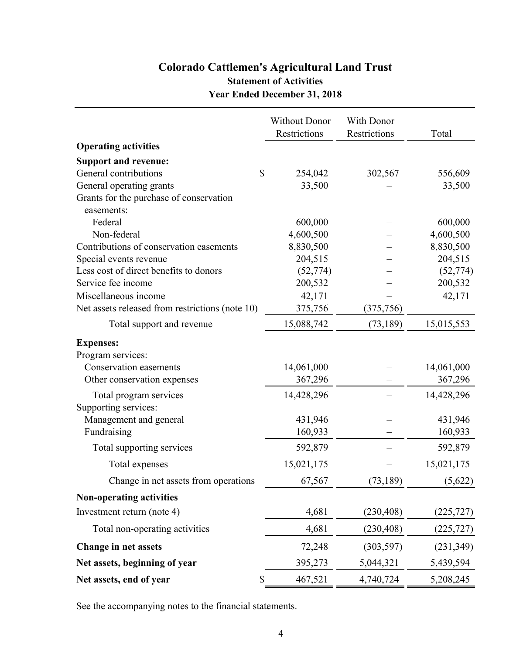# **Colorado Cattlemen's Agricultural Land Trust Statement of Activities Year Ended December 31, 2018**

|                                                 | <b>Without Donor</b> | With Donor   |            |
|-------------------------------------------------|----------------------|--------------|------------|
|                                                 | Restrictions         | Restrictions | Total      |
| <b>Operating activities</b>                     |                      |              |            |
| <b>Support and revenue:</b>                     |                      |              |            |
| General contributions<br>\$                     | 254,042              | 302,567      | 556,609    |
| General operating grants                        | 33,500               |              | 33,500     |
| Grants for the purchase of conservation         |                      |              |            |
| easements:                                      |                      |              |            |
| Federal                                         | 600,000              |              | 600,000    |
| Non-federal                                     | 4,600,500            |              | 4,600,500  |
| Contributions of conservation easements         | 8,830,500            |              | 8,830,500  |
| Special events revenue                          | 204,515              |              | 204,515    |
| Less cost of direct benefits to donors          | (52, 774)            |              | (52, 774)  |
| Service fee income                              | 200,532              |              | 200,532    |
| Miscellaneous income                            | 42,171               |              | 42,171     |
| Net assets released from restrictions (note 10) | 375,756              | (375, 756)   |            |
| Total support and revenue                       | 15,088,742           | (73, 189)    | 15,015,553 |
| <b>Expenses:</b>                                |                      |              |            |
| Program services:                               |                      |              |            |
| <b>Conservation easements</b>                   | 14,061,000           |              | 14,061,000 |
| Other conservation expenses                     | 367,296              |              | 367,296    |
| Total program services                          | 14,428,296           |              | 14,428,296 |
| Supporting services:                            |                      |              |            |
| Management and general                          | 431,946              |              | 431,946    |
| Fundraising                                     | 160,933              |              | 160,933    |
| Total supporting services                       | 592,879              |              | 592,879    |
| Total expenses                                  | 15,021,175           |              | 15,021,175 |
| Change in net assets from operations            | 67,567               | (73, 189)    | (5,622)    |
| <b>Non-operating activities</b>                 |                      |              |            |
| Investment return (note 4)                      | 4,681                | (230, 408)   | (225, 727) |
| Total non-operating activities                  | 4,681                | (230, 408)   | (225, 727) |
| Change in net assets                            | 72,248               | (303, 597)   | (231, 349) |
| Net assets, beginning of year                   | 395,273              | 5,044,321    | 5,439,594  |
| Net assets, end of year<br>\$                   | 467,521              | 4,740,724    | 5,208,245  |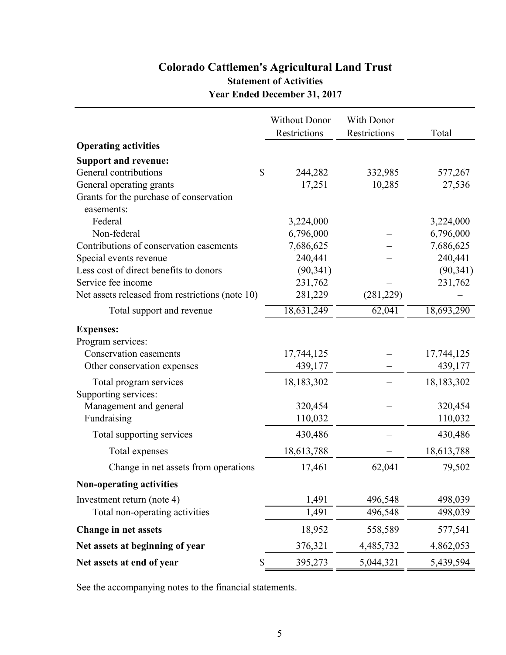# **Colorado Cattlemen's Agricultural Land Trust Statement of Activities Year Ended December 31, 2017**

|                                                 | <b>Without Donor</b> | With Donor   |            |
|-------------------------------------------------|----------------------|--------------|------------|
|                                                 | Restrictions         | Restrictions | Total      |
| <b>Operating activities</b>                     |                      |              |            |
| <b>Support and revenue:</b>                     |                      |              |            |
| \$<br>General contributions                     | 244,282              | 332,985      | 577,267    |
| General operating grants                        | 17,251               | 10,285       | 27,536     |
| Grants for the purchase of conservation         |                      |              |            |
| easements:                                      |                      |              |            |
| Federal                                         | 3,224,000            |              | 3,224,000  |
| Non-federal                                     | 6,796,000            |              | 6,796,000  |
| Contributions of conservation easements         | 7,686,625            |              | 7,686,625  |
| Special events revenue                          | 240,441              |              | 240,441    |
| Less cost of direct benefits to donors          | (90, 341)            |              | (90, 341)  |
| Service fee income                              | 231,762              |              | 231,762    |
| Net assets released from restrictions (note 10) | 281,229              | (281, 229)   |            |
| Total support and revenue                       | 18,631,249           | 62,041       | 18,693,290 |
| <b>Expenses:</b>                                |                      |              |            |
| Program services:                               |                      |              |            |
| Conservation easements                          | 17,744,125           |              | 17,744,125 |
| Other conservation expenses                     | 439,177              |              | 439,177    |
| Total program services                          | 18,183,302           |              | 18,183,302 |
| Supporting services:                            |                      |              |            |
| Management and general                          | 320,454              |              | 320,454    |
| Fundraising                                     | 110,032              |              | 110,032    |
| Total supporting services                       | 430,486              |              | 430,486    |
| Total expenses                                  | 18,613,788           |              | 18,613,788 |
| Change in net assets from operations            | 17,461               | 62,041       | 79,502     |
| Non-operating activities                        |                      |              |            |
| Investment return (note 4)                      | 1,491                | 496,548      | 498,039    |
| Total non-operating activities                  | 1,491                | 496,548      | 498,039    |
| Change in net assets                            | 18,952               | 558,589      | 577,541    |
| Net assets at beginning of year                 | 376,321              | 4,485,732    | 4,862,053  |
| \$<br>Net assets at end of year                 | 395,273              | 5,044,321    | 5,439,594  |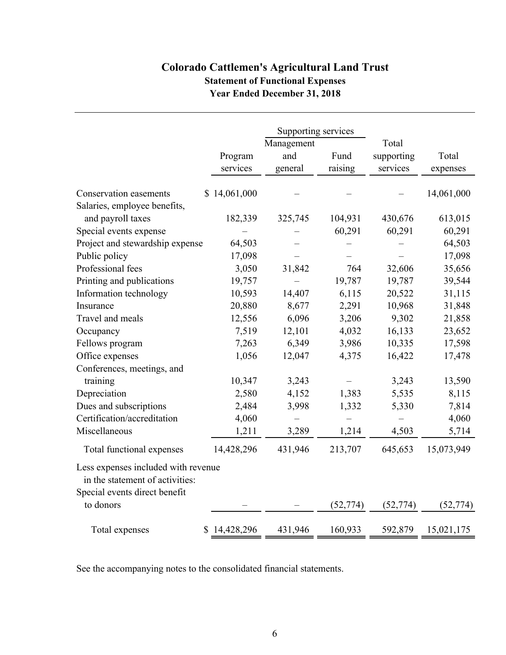# **Colorado Cattlemen's Agricultural Land Trust Statement of Functional Expenses Year Ended December 31, 2018**

|                                     |                     | Supporting services<br>Management |                 | Total                  |                   |
|-------------------------------------|---------------------|-----------------------------------|-----------------|------------------------|-------------------|
|                                     | Program<br>services | and<br>general                    | Fund<br>raising | supporting<br>services | Total<br>expenses |
|                                     |                     |                                   |                 |                        |                   |
| Conservation easements              | \$14,061,000        |                                   |                 |                        | 14,061,000        |
| Salaries, employee benefits,        |                     |                                   |                 |                        |                   |
| and payroll taxes                   | 182,339             | 325,745                           | 104,931         | 430,676                | 613,015           |
| Special events expense              |                     |                                   | 60,291          | 60,291                 | 60,291            |
| Project and stewardship expense     | 64,503              |                                   |                 |                        | 64,503            |
| Public policy                       | 17,098              |                                   |                 |                        | 17,098            |
| Professional fees                   | 3,050               | 31,842                            | 764             | 32,606                 | 35,656            |
| Printing and publications           | 19,757              |                                   | 19,787          | 19,787                 | 39,544            |
| Information technology              | 10,593              | 14,407                            | 6,115           | 20,522                 | 31,115            |
| Insurance                           | 20,880              | 8,677                             | 2,291           | 10,968                 | 31,848            |
| Travel and meals                    | 12,556              | 6,096                             | 3,206           | 9,302                  | 21,858            |
| Occupancy                           | 7,519               | 12,101                            | 4,032           | 16,133                 | 23,652            |
| Fellows program                     | 7,263               | 6,349                             | 3,986           | 10,335                 | 17,598            |
| Office expenses                     | 1,056               | 12,047                            | 4,375           | 16,422                 | 17,478            |
| Conferences, meetings, and          |                     |                                   |                 |                        |                   |
| training                            | 10,347              | 3,243                             |                 | 3,243                  | 13,590            |
| Depreciation                        | 2,580               | 4,152                             | 1,383           | 5,535                  | 8,115             |
| Dues and subscriptions              | 2,484               | 3,998                             | 1,332           | 5,330                  | 7,814             |
| Certification/accreditation         | 4,060               |                                   |                 |                        | 4,060             |
| Miscellaneous                       | 1,211               | 3,289                             | 1,214           | 4,503                  | 5,714             |
| Total functional expenses           | 14,428,296          | 431,946                           | 213,707         | 645,653                | 15,073,949        |
| Less expenses included with revenue |                     |                                   |                 |                        |                   |
| in the statement of activities:     |                     |                                   |                 |                        |                   |
| Special events direct benefit       |                     |                                   |                 |                        |                   |
| to donors                           |                     |                                   | (52, 774)       | (52, 774)              | (52, 774)         |
| Total expenses                      | \$14,428,296        | 431,946                           | 160,933         | 592,879                | 15,021,175        |

See the accompanying notes to the consolidated financial statements.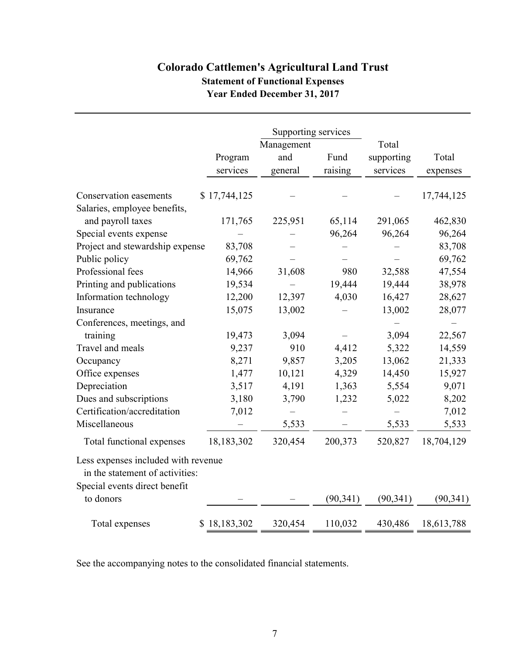# **Colorado Cattlemen's Agricultural Land Trust Statement of Functional Expenses Year Ended December 31, 2017**

|                                     |              | Supporting services<br>Management |           | Total      |            |
|-------------------------------------|--------------|-----------------------------------|-----------|------------|------------|
|                                     | Program      | and                               | Fund      | supporting | Total      |
|                                     | services     | general                           | raising   | services   | expenses   |
| Conservation easements              | \$17,744,125 |                                   |           |            | 17,744,125 |
| Salaries, employee benefits,        |              |                                   |           |            |            |
| and payroll taxes                   | 171,765      | 225,951                           | 65,114    | 291,065    | 462,830    |
| Special events expense              |              |                                   | 96,264    | 96,264     | 96,264     |
| Project and stewardship expense     | 83,708       |                                   |           |            | 83,708     |
| Public policy                       | 69,762       |                                   |           |            | 69,762     |
| Professional fees                   | 14,966       | 31,608                            | 980       | 32,588     | 47,554     |
| Printing and publications           | 19,534       |                                   | 19,444    | 19,444     | 38,978     |
| Information technology              | 12,200       | 12,397                            | 4,030     | 16,427     | 28,627     |
| Insurance                           | 15,075       | 13,002                            |           | 13,002     | 28,077     |
| Conferences, meetings, and          |              |                                   |           |            |            |
| training                            | 19,473       | 3,094                             |           | 3,094      | 22,567     |
| Travel and meals                    | 9,237        | 910                               | 4,412     | 5,322      | 14,559     |
| Occupancy                           | 8,271        | 9,857                             | 3,205     | 13,062     | 21,333     |
| Office expenses                     | 1,477        | 10,121                            | 4,329     | 14,450     | 15,927     |
| Depreciation                        | 3,517        | 4,191                             | 1,363     | 5,554      | 9,071      |
| Dues and subscriptions              | 3,180        | 3,790                             | 1,232     | 5,022      | 8,202      |
| Certification/accreditation         | 7,012        |                                   |           |            | 7,012      |
| Miscellaneous                       |              | 5,533                             |           | 5,533      | 5,533      |
| Total functional expenses           | 18,183,302   | 320,454                           | 200,373   | 520,827    | 18,704,129 |
| Less expenses included with revenue |              |                                   |           |            |            |
| in the statement of activities:     |              |                                   |           |            |            |
| Special events direct benefit       |              |                                   |           |            |            |
| to donors                           |              |                                   | (90, 341) | (90, 341)  | (90, 341)  |
| Total expenses                      | \$18,183,302 | 320,454                           | 110,032   | 430,486    | 18,613,788 |

See the accompanying notes to the consolidated financial statements.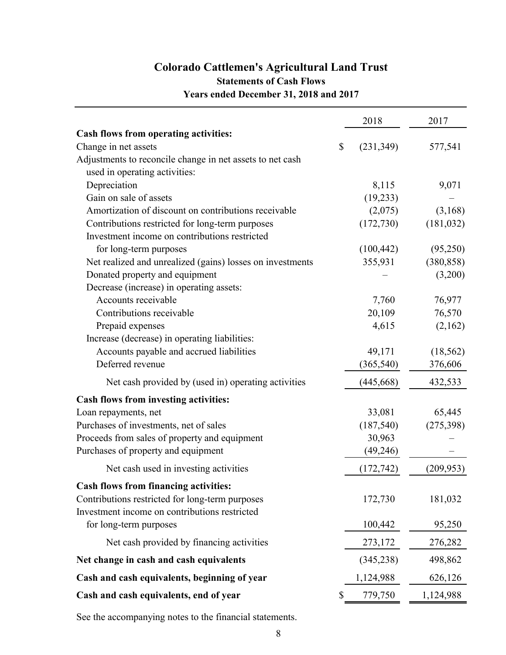# **Colorado Cattlemen's Agricultural Land Trust Statements of Cash Flows Years ended December 31, 2018 and 2017**

|                                                           | 2018       | 2017       |
|-----------------------------------------------------------|------------|------------|
| <b>Cash flows from operating activities:</b>              |            |            |
| Change in net assets<br>\$                                | (231, 349) | 577,541    |
| Adjustments to reconcile change in net assets to net cash |            |            |
| used in operating activities:                             |            |            |
| Depreciation                                              | 8,115      | 9,071      |
| Gain on sale of assets                                    | (19, 233)  |            |
| Amortization of discount on contributions receivable      | (2,075)    | (3,168)    |
| Contributions restricted for long-term purposes           | (172, 730) | (181, 032) |
| Investment income on contributions restricted             |            |            |
| for long-term purposes                                    | (100, 442) | (95,250)   |
| Net realized and unrealized (gains) losses on investments | 355,931    | (380, 858) |
| Donated property and equipment                            |            | (3,200)    |
| Decrease (increase) in operating assets:                  |            |            |
| Accounts receivable                                       | 7,760      | 76,977     |
| Contributions receivable                                  | 20,109     | 76,570     |
| Prepaid expenses                                          | 4,615      | (2,162)    |
| Increase (decrease) in operating liabilities:             |            |            |
| Accounts payable and accrued liabilities                  | 49,171     | (18, 562)  |
| Deferred revenue                                          | (365, 540) | 376,606    |
| Net cash provided by (used in) operating activities       | (445, 668) | 432,533    |
| Cash flows from investing activities:                     |            |            |
| Loan repayments, net                                      | 33,081     | 65,445     |
| Purchases of investments, net of sales                    | (187, 540) | (275, 398) |
| Proceeds from sales of property and equipment             | 30,963     |            |
| Purchases of property and equipment                       | (49, 246)  |            |
| Net cash used in investing activities                     | (172, 742) | (209, 953) |
| <b>Cash flows from financing activities:</b>              |            |            |
| Contributions restricted for long-term purposes           | 172,730    | 181,032    |
| Investment income on contributions restricted             |            |            |
| for long-term purposes                                    | 100,442    | 95,250     |
| Net cash provided by financing activities                 | 273,172    | 276,282    |
| Net change in cash and cash equivalents                   | (345, 238) | 498,862    |
| Cash and cash equivalents, beginning of year              | 1,124,988  | 626,126    |
| Cash and cash equivalents, end of year                    | 779,750    | 1,124,988  |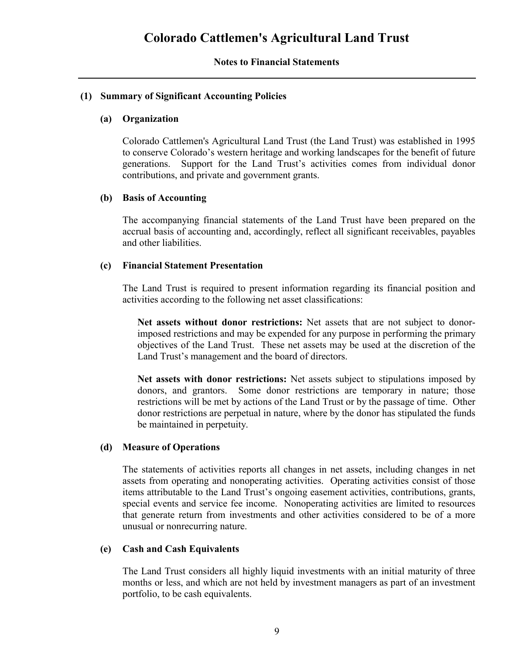#### **Notes to Financial Statements**

### **(1) Summary of Significant Accounting Policies**

#### **(a) Organization**

Colorado Cattlemen's Agricultural Land Trust (the Land Trust) was established in 1995 to conserve Colorado's western heritage and working landscapes for the benefit of future generations. Support for the Land Trust's activities comes from individual donor contributions, and private and government grants.

### **(b) Basis of Accounting**

The accompanying financial statements of the Land Trust have been prepared on the accrual basis of accounting and, accordingly, reflect all significant receivables, payables and other liabilities.

### **(c) Financial Statement Presentation**

The Land Trust is required to present information regarding its financial position and activities according to the following net asset classifications:

**Net assets without donor restrictions:** Net assets that are not subject to donorimposed restrictions and may be expended for any purpose in performing the primary objectives of the Land Trust. These net assets may be used at the discretion of the Land Trust's management and the board of directors.

**Net assets with donor restrictions:** Net assets subject to stipulations imposed by donors, and grantors. Some donor restrictions are temporary in nature; those restrictions will be met by actions of the Land Trust or by the passage of time. Other donor restrictions are perpetual in nature, where by the donor has stipulated the funds be maintained in perpetuity.

# **(d) Measure of Operations**

The statements of activities reports all changes in net assets, including changes in net assets from operating and nonoperating activities. Operating activities consist of those items attributable to the Land Trust's ongoing easement activities, contributions, grants, special events and service fee income. Nonoperating activities are limited to resources that generate return from investments and other activities considered to be of a more unusual or nonrecurring nature.

#### **(e) Cash and Cash Equivalents**

The Land Trust considers all highly liquid investments with an initial maturity of three months or less, and which are not held by investment managers as part of an investment portfolio, to be cash equivalents.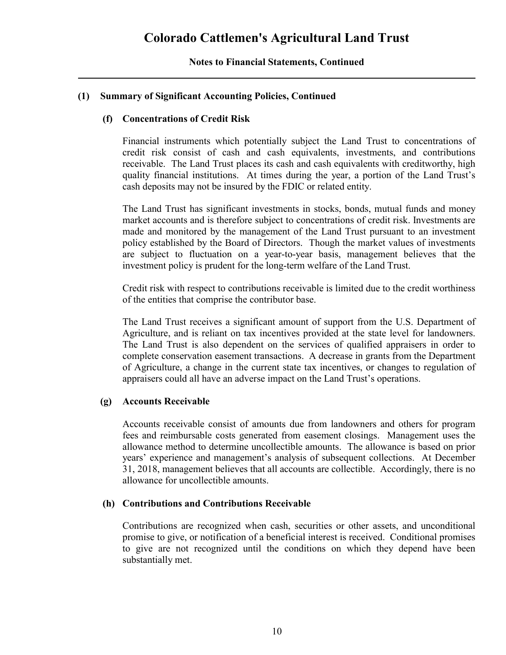# **(1) Summary of Significant Accounting Policies, Continued**

### **(f) Concentrations of Credit Risk**

Financial instruments which potentially subject the Land Trust to concentrations of credit risk consist of cash and cash equivalents, investments, and contributions receivable. The Land Trust places its cash and cash equivalents with creditworthy, high quality financial institutions. At times during the year, a portion of the Land Trust's cash deposits may not be insured by the FDIC or related entity.

The Land Trust has significant investments in stocks, bonds, mutual funds and money market accounts and is therefore subject to concentrations of credit risk. Investments are made and monitored by the management of the Land Trust pursuant to an investment policy established by the Board of Directors. Though the market values of investments are subject to fluctuation on a year-to-year basis, management believes that the investment policy is prudent for the long-term welfare of the Land Trust.

Credit risk with respect to contributions receivable is limited due to the credit worthiness of the entities that comprise the contributor base.

The Land Trust receives a significant amount of support from the U.S. Department of Agriculture, and is reliant on tax incentives provided at the state level for landowners. The Land Trust is also dependent on the services of qualified appraisers in order to complete conservation easement transactions. A decrease in grants from the Department of Agriculture, a change in the current state tax incentives, or changes to regulation of appraisers could all have an adverse impact on the Land Trust's operations.

#### **(g) Accounts Receivable**

Accounts receivable consist of amounts due from landowners and others for program fees and reimbursable costs generated from easement closings. Management uses the allowance method to determine uncollectible amounts. The allowance is based on prior years' experience and management's analysis of subsequent collections. At December 31, 2018, management believes that all accounts are collectible. Accordingly, there is no allowance for uncollectible amounts.

#### **(h) Contributions and Contributions Receivable**

Contributions are recognized when cash, securities or other assets, and unconditional promise to give, or notification of a beneficial interest is received. Conditional promises to give are not recognized until the conditions on which they depend have been substantially met.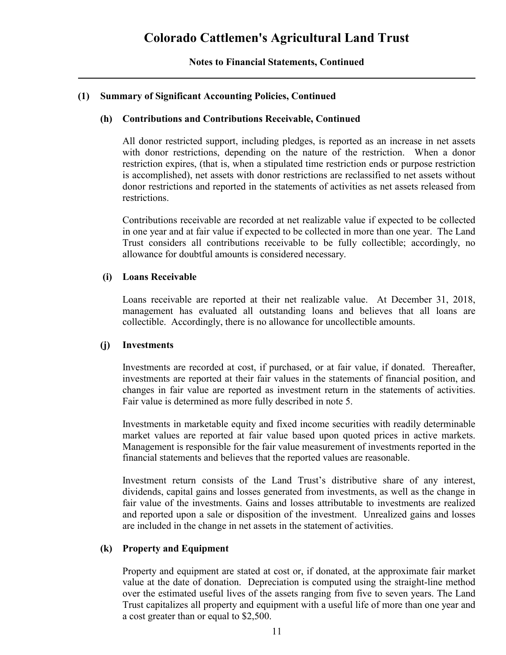# **(1) Summary of Significant Accounting Policies, Continued**

#### **(h) Contributions and Contributions Receivable, Continued**

All donor restricted support, including pledges, is reported as an increase in net assets with donor restrictions, depending on the nature of the restriction. When a donor restriction expires, (that is, when a stipulated time restriction ends or purpose restriction is accomplished), net assets with donor restrictions are reclassified to net assets without donor restrictions and reported in the statements of activities as net assets released from restrictions.

Contributions receivable are recorded at net realizable value if expected to be collected in one year and at fair value if expected to be collected in more than one year. The Land Trust considers all contributions receivable to be fully collectible; accordingly, no allowance for doubtful amounts is considered necessary.

#### **(i) Loans Receivable**

Loans receivable are reported at their net realizable value. At December 31, 2018, management has evaluated all outstanding loans and believes that all loans are collectible. Accordingly, there is no allowance for uncollectible amounts.

#### **(j) Investments**

Investments are recorded at cost, if purchased, or at fair value, if donated. Thereafter, investments are reported at their fair values in the statements of financial position, and changes in fair value are reported as investment return in the statements of activities. Fair value is determined as more fully described in note 5.

Investments in marketable equity and fixed income securities with readily determinable market values are reported at fair value based upon quoted prices in active markets. Management is responsible for the fair value measurement of investments reported in the financial statements and believes that the reported values are reasonable.

Investment return consists of the Land Trust's distributive share of any interest, dividends, capital gains and losses generated from investments, as well as the change in fair value of the investments. Gains and losses attributable to investments are realized and reported upon a sale or disposition of the investment. Unrealized gains and losses are included in the change in net assets in the statement of activities.

#### **(k) Property and Equipment**

Property and equipment are stated at cost or, if donated, at the approximate fair market value at the date of donation. Depreciation is computed using the straight-line method over the estimated useful lives of the assets ranging from five to seven years. The Land Trust capitalizes all property and equipment with a useful life of more than one year and a cost greater than or equal to \$2,500.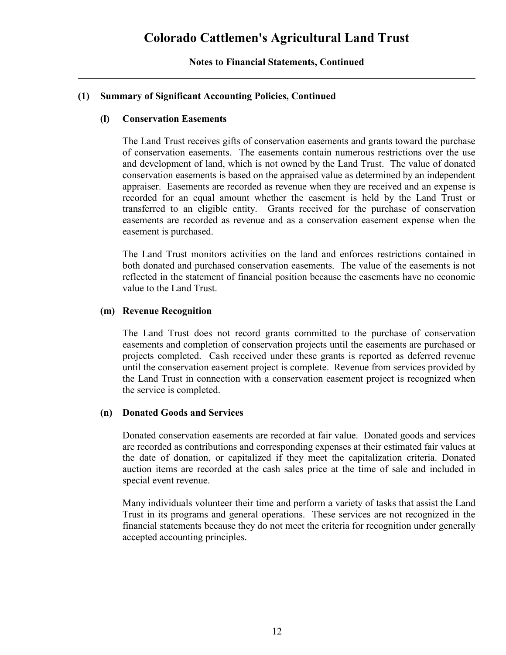# **(1) Summary of Significant Accounting Policies, Continued**

#### **(l) Conservation Easements**

The Land Trust receives gifts of conservation easements and grants toward the purchase of conservation easements. The easements contain numerous restrictions over the use and development of land, which is not owned by the Land Trust. The value of donated conservation easements is based on the appraised value as determined by an independent appraiser. Easements are recorded as revenue when they are received and an expense is recorded for an equal amount whether the easement is held by the Land Trust or transferred to an eligible entity. Grants received for the purchase of conservation easements are recorded as revenue and as a conservation easement expense when the easement is purchased.

The Land Trust monitors activities on the land and enforces restrictions contained in both donated and purchased conservation easements. The value of the easements is not reflected in the statement of financial position because the easements have no economic value to the Land Trust.

#### **(m) Revenue Recognition**

The Land Trust does not record grants committed to the purchase of conservation easements and completion of conservation projects until the easements are purchased or projects completed. Cash received under these grants is reported as deferred revenue until the conservation easement project is complete. Revenue from services provided by the Land Trust in connection with a conservation easement project is recognized when the service is completed.

#### **(n) Donated Goods and Services**

Donated conservation easements are recorded at fair value. Donated goods and services are recorded as contributions and corresponding expenses at their estimated fair values at the date of donation, or capitalized if they meet the capitalization criteria. Donated auction items are recorded at the cash sales price at the time of sale and included in special event revenue.

Many individuals volunteer their time and perform a variety of tasks that assist the Land Trust in its programs and general operations. These services are not recognized in the financial statements because they do not meet the criteria for recognition under generally accepted accounting principles.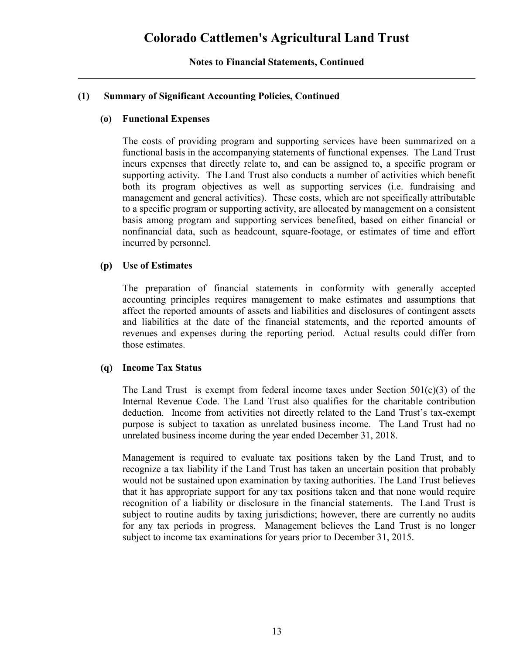# **(1) Summary of Significant Accounting Policies, Continued**

### **(o) Functional Expenses**

The costs of providing program and supporting services have been summarized on a functional basis in the accompanying statements of functional expenses. The Land Trust incurs expenses that directly relate to, and can be assigned to, a specific program or supporting activity. The Land Trust also conducts a number of activities which benefit both its program objectives as well as supporting services (i.e. fundraising and management and general activities). These costs, which are not specifically attributable to a specific program or supporting activity, are allocated by management on a consistent basis among program and supporting services benefited, based on either financial or nonfinancial data, such as headcount, square-footage, or estimates of time and effort incurred by personnel.

### **(p) Use of Estimates**

The preparation of financial statements in conformity with generally accepted accounting principles requires management to make estimates and assumptions that affect the reported amounts of assets and liabilities and disclosures of contingent assets and liabilities at the date of the financial statements, and the reported amounts of revenues and expenses during the reporting period. Actual results could differ from those estimates.

#### **(q) Income Tax Status**

The Land Trust is exempt from federal income taxes under Section  $501(c)(3)$  of the Internal Revenue Code. The Land Trust also qualifies for the charitable contribution deduction. Income from activities not directly related to the Land Trust's tax-exempt purpose is subject to taxation as unrelated business income. The Land Trust had no unrelated business income during the year ended December 31, 2018.

Management is required to evaluate tax positions taken by the Land Trust, and to recognize a tax liability if the Land Trust has taken an uncertain position that probably would not be sustained upon examination by taxing authorities. The Land Trust believes that it has appropriate support for any tax positions taken and that none would require recognition of a liability or disclosure in the financial statements. The Land Trust is subject to routine audits by taxing jurisdictions; however, there are currently no audits for any tax periods in progress. Management believes the Land Trust is no longer subject to income tax examinations for years prior to December 31, 2015.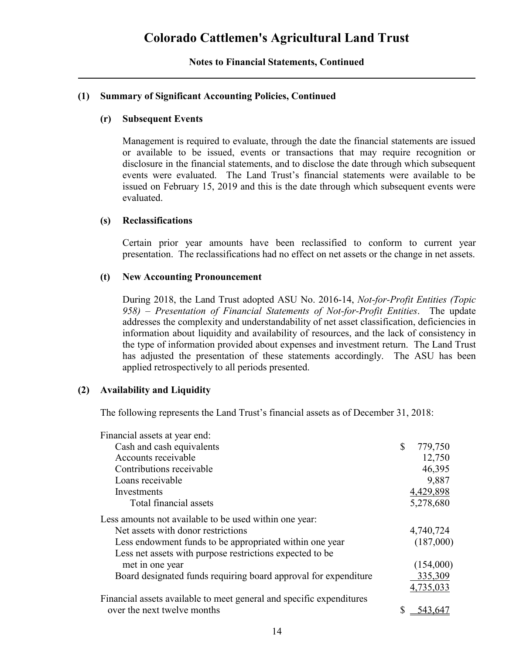# **(1) Summary of Significant Accounting Policies, Continued**

### **(r) Subsequent Events**

Management is required to evaluate, through the date the financial statements are issued or available to be issued, events or transactions that may require recognition or disclosure in the financial statements, and to disclose the date through which subsequent events were evaluated. The Land Trust's financial statements were available to be issued on February 15, 2019 and this is the date through which subsequent events were evaluated.

### **(s) Reclassifications**

Certain prior year amounts have been reclassified to conform to current year presentation. The reclassifications had no effect on net assets or the change in net assets.

### **(t) New Accounting Pronouncement**

During 2018, the Land Trust adopted ASU No. 2016-14, *Not-for-Profit Entities (Topic 958) – Presentation of Financial Statements of Not-for-Profit Entities*. The update addresses the complexity and understandability of net asset classification, deficiencies in information about liquidity and availability of resources, and the lack of consistency in the type of information provided about expenses and investment return. The Land Trust has adjusted the presentation of these statements accordingly. The ASU has been applied retrospectively to all periods presented.

#### **(2) Availability and Liquidity**

The following represents the Land Trust's financial assets as of December 31, 2018:

| Financial assets at year end:                                        |    |           |
|----------------------------------------------------------------------|----|-----------|
| Cash and cash equivalents                                            | S. | 779,750   |
| Accounts receivable                                                  |    | 12,750    |
| Contributions receivable                                             |    | 46,395    |
| Loans receivable                                                     |    | 9,887     |
| Investments                                                          |    | 4,429,898 |
| Total financial assets                                               |    | 5,278,680 |
| Less amounts not available to be used within one year:               |    |           |
| Net assets with donor restrictions                                   |    | 4,740,724 |
| Less endowment funds to be appropriated within one year              |    | (187,000) |
| Less net assets with purpose restrictions expected to be             |    |           |
| met in one year                                                      |    | (154,000) |
| Board designated funds requiring board approval for expenditure      |    | 335,309   |
|                                                                      |    | 4,735,033 |
| Financial assets available to meet general and specific expenditures |    |           |
| over the next twelve months                                          |    | 543.647   |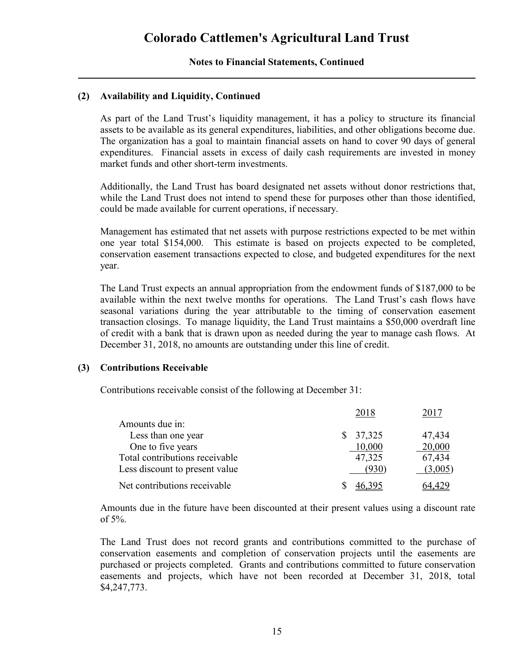# **(2) Availability and Liquidity, Continued**

As part of the Land Trust's liquidity management, it has a policy to structure its financial assets to be available as its general expenditures, liabilities, and other obligations become due. The organization has a goal to maintain financial assets on hand to cover 90 days of general expenditures. Financial assets in excess of daily cash requirements are invested in money market funds and other short-term investments.

Additionally, the Land Trust has board designated net assets without donor restrictions that, while the Land Trust does not intend to spend these for purposes other than those identified, could be made available for current operations, if necessary.

Management has estimated that net assets with purpose restrictions expected to be met within one year total \$154,000. This estimate is based on projects expected to be completed, conservation easement transactions expected to close, and budgeted expenditures for the next year.

The Land Trust expects an annual appropriation from the endowment funds of \$187,000 to be available within the next twelve months for operations. The Land Trust's cash flows have seasonal variations during the year attributable to the timing of conservation easement transaction closings. To manage liquidity, the Land Trust maintains a \$50,000 overdraft line of credit with a bank that is drawn upon as needed during the year to manage cash flows. At December 31, 2018, no amounts are outstanding under this line of credit.

#### **(3) Contributions Receivable**

Contributions receivable consist of the following at December 31:

|                                | 2018         | 2017    |
|--------------------------------|--------------|---------|
| Amounts due in:                |              |         |
| Less than one year             | 37,325<br>S. | 47,434  |
| One to five years              | 10,000       | 20,000  |
| Total contributions receivable | 47,325       | 67,434  |
| Less discount to present value | (930)        | (3,005) |
| Net contributions receivable   |              |         |

Amounts due in the future have been discounted at their present values using a discount rate of 5%.

The Land Trust does not record grants and contributions committed to the purchase of conservation easements and completion of conservation projects until the easements are purchased or projects completed. Grants and contributions committed to future conservation easements and projects, which have not been recorded at December 31, 2018, total \$4,247,773.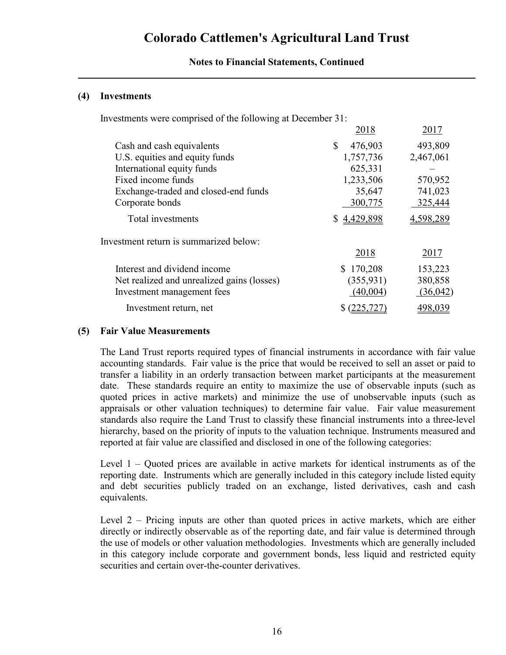# **Colorado Cattlemen's Agricultural Land Trust**

#### **Notes to Financial Statements, Continued**

#### **(4) Investments**

Investments were comprised of the following at December 31:

| 2018          | 2017      |
|---------------|-----------|
| \$<br>476,903 | 493,809   |
| 1,757,736     | 2,467,061 |
| 625,331       |           |
| 1,233,506     | 570,952   |
| 35,647        | 741,023   |
| 300,775       | 325,444   |
| \$4,429,898   | 4,598,289 |
|               |           |
| 2018          | 2017      |
| \$170,208     | 153,223   |
| (355, 931)    | 380,858   |
| (40,004)      | (36,042)  |
|               |           |
|               |           |

#### **(5) Fair Value Measurements**

The Land Trust reports required types of financial instruments in accordance with fair value accounting standards. Fair value is the price that would be received to sell an asset or paid to transfer a liability in an orderly transaction between market participants at the measurement date. These standards require an entity to maximize the use of observable inputs (such as quoted prices in active markets) and minimize the use of unobservable inputs (such as appraisals or other valuation techniques) to determine fair value. Fair value measurement standards also require the Land Trust to classify these financial instruments into a three-level hierarchy, based on the priority of inputs to the valuation technique. Instruments measured and reported at fair value are classified and disclosed in one of the following categories:

Level 1 – Quoted prices are available in active markets for identical instruments as of the reporting date. Instruments which are generally included in this category include listed equity and debt securities publicly traded on an exchange, listed derivatives, cash and cash equivalents.

Level 2 – Pricing inputs are other than quoted prices in active markets, which are either directly or indirectly observable as of the reporting date, and fair value is determined through the use of models or other valuation methodologies. Investments which are generally included in this category include corporate and government bonds, less liquid and restricted equity securities and certain over-the-counter derivatives.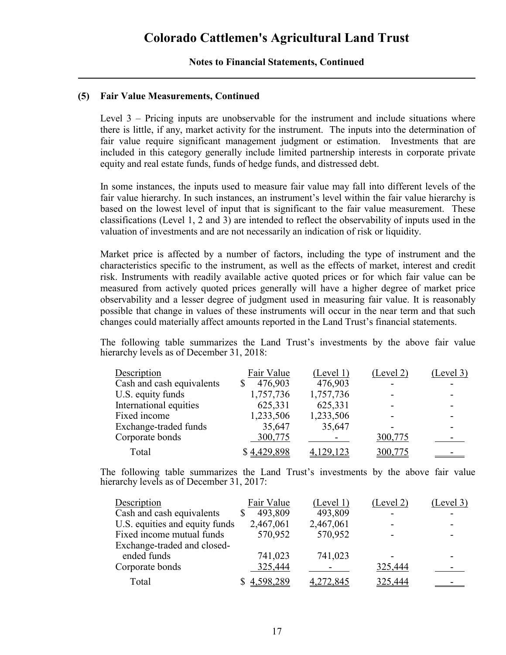#### **(5) Fair Value Measurements, Continued**

Level 3 – Pricing inputs are unobservable for the instrument and include situations where there is little, if any, market activity for the instrument. The inputs into the determination of fair value require significant management judgment or estimation. Investments that are included in this category generally include limited partnership interests in corporate private equity and real estate funds, funds of hedge funds, and distressed debt.

In some instances, the inputs used to measure fair value may fall into different levels of the fair value hierarchy. In such instances, an instrument's level within the fair value hierarchy is based on the lowest level of input that is significant to the fair value measurement. These classifications (Level 1, 2 and 3) are intended to reflect the observability of inputs used in the valuation of investments and are not necessarily an indication of risk or liquidity.

Market price is affected by a number of factors, including the type of instrument and the characteristics specific to the instrument, as well as the effects of market, interest and credit risk. Instruments with readily available active quoted prices or for which fair value can be measured from actively quoted prices generally will have a higher degree of market price observability and a lesser degree of judgment used in measuring fair value. It is reasonably possible that change in values of these instruments will occur in the near term and that such changes could materially affect amounts reported in the Land Trust's financial statements.

The following table summarizes the Land Trust's investments by the above fair value hierarchy levels as of December 31, 2018:

| Description               | Fair Value  | (Level 1) | (Level 2) | (Level 3) |
|---------------------------|-------------|-----------|-----------|-----------|
| Cash and cash equivalents | 476,903     | 476,903   |           |           |
| U.S. equity funds         | 1,757,736   | 1,757,736 |           |           |
| International equities    | 625,331     | 625,331   |           |           |
| Fixed income              | 1,233,506   | 1,233,506 |           |           |
| Exchange-traded funds     | 35,647      | 35,647    |           |           |
| Corporate bonds           | 300,775     |           | 300,775   |           |
| Total                     | \$4,429,898 | ,129,123  | 300,775   |           |

The following table summarizes the Land Trust's investments by the above fair value hierarchy levels as of December 31, 2017:

| Description                    | Fair Value  | (Level 1) | (Level 2) | (Level 3) |
|--------------------------------|-------------|-----------|-----------|-----------|
| Cash and cash equivalents      | 493,809     | 493,809   |           |           |
| U.S. equities and equity funds | 2,467,061   | 2,467,061 |           |           |
| Fixed income mutual funds      | 570,952     | 570,952   |           |           |
| Exchange-traded and closed-    |             |           |           |           |
| ended funds                    | 741,023     | 741,023   |           |           |
| Corporate bonds                | 325,444     |           | 325,444   |           |
| Total                          | \$4,598,289 | 4,272,845 | 325,444   |           |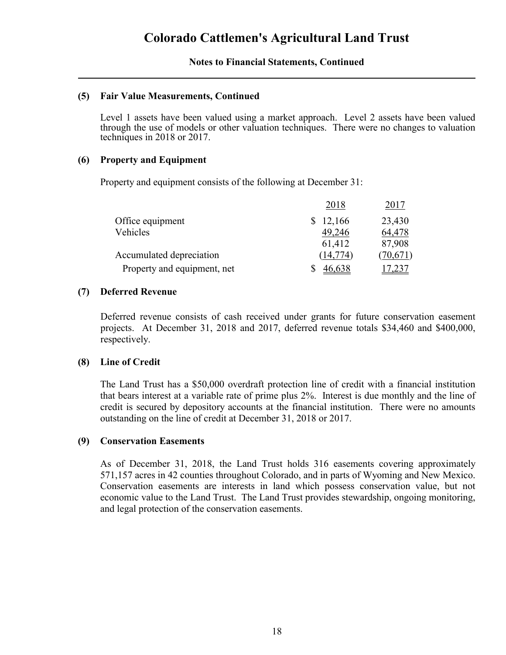#### **(5) Fair Value Measurements, Continued**

Level 1 assets have been valued using a market approach. Level 2 assets have been valued through the use of models or other valuation techniques. There were no changes to valuation techniques in 2018 or 2017.

#### **(6) Property and Equipment**

Property and equipment consists of the following at December 31:

|                             | 2018      | 2017     |
|-----------------------------|-----------|----------|
| Office equipment            | 12,166    | 23,430   |
| Vehicles                    | 49,246    | 64,478   |
|                             | 61,412    | 87,908   |
| Accumulated depreciation    | (14, 774) | (70,671) |
| Property and equipment, net | 46,638    |          |

#### **(7) Deferred Revenue**

Deferred revenue consists of cash received under grants for future conservation easement projects. At December 31, 2018 and 2017, deferred revenue totals \$34,460 and \$400,000, respectively.

#### **(8) Line of Credit**

The Land Trust has a \$50,000 overdraft protection line of credit with a financial institution that bears interest at a variable rate of prime plus 2%. Interest is due monthly and the line of credit is secured by depository accounts at the financial institution. There were no amounts outstanding on the line of credit at December 31, 2018 or 2017.

#### **(9) Conservation Easements**

As of December 31, 2018, the Land Trust holds 316 easements covering approximately 571,157 acres in 42 counties throughout Colorado, and in parts of Wyoming and New Mexico. Conservation easements are interests in land which possess conservation value, but not economic value to the Land Trust. The Land Trust provides stewardship, ongoing monitoring, and legal protection of the conservation easements.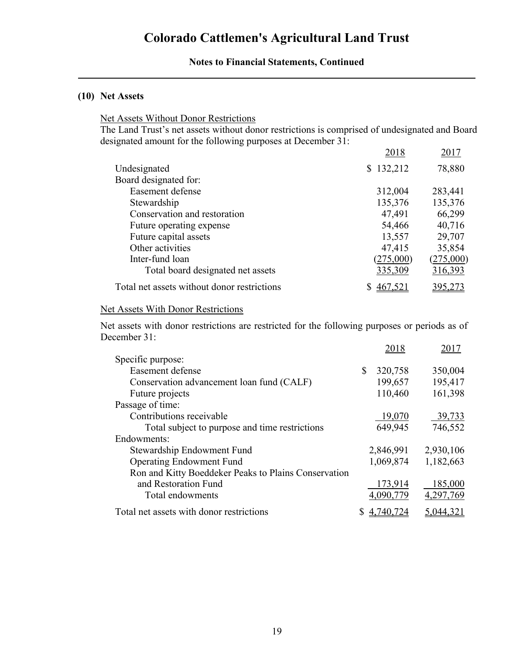# **Colorado Cattlemen's Agricultural Land Trust**

#### **Notes to Financial Statements, Continued**

# **(10) Net Assets**

#### Net Assets Without Donor Restrictions

The Land Trust's net assets without donor restrictions is comprised of undesignated and Board designated amount for the following purposes at December 31:

|                                             | 2018      | 2017      |
|---------------------------------------------|-----------|-----------|
| Undesignated                                | \$132,212 | 78,880    |
| Board designated for:                       |           |           |
| Easement defense                            | 312,004   | 283,441   |
| Stewardship                                 | 135,376   | 135,376   |
| Conservation and restoration                | 47,491    | 66,299    |
| Future operating expense                    | 54,466    | 40,716    |
| Future capital assets                       | 13,557    | 29,707    |
| Other activities                            | 47,415    | 35,854    |
| Inter-fund loan                             | (275,000) | (275,000) |
| Total board designated net assets           | 335,309   | 316,393   |
| Total net assets without donor restrictions |           |           |

#### Net Assets With Donor Restrictions

Net assets with donor restrictions are restricted for the following purposes or periods as of December 31:

|                                                      | 2018      | 2017      |
|------------------------------------------------------|-----------|-----------|
| Specific purpose:                                    |           |           |
| Easement defense                                     | 320,758   | 350,004   |
| Conservation advancement loan fund (CALF)            | 199,657   | 195,417   |
| Future projects                                      | 110,460   | 161,398   |
| Passage of time:                                     |           |           |
| Contributions receivable                             | 19,070    | 39,733    |
| Total subject to purpose and time restrictions       | 649,945   | 746,552   |
| Endowments:                                          |           |           |
| Stewardship Endowment Fund                           | 2,846,991 | 2,930,106 |
| <b>Operating Endowment Fund</b>                      | 1,069,874 | 1,182,663 |
| Ron and Kitty Boeddeker Peaks to Plains Conservation |           |           |
| and Restoration Fund                                 | 173,914   | 185,000   |
| Total endowments                                     | 4,090,779 | 4,297,769 |
| Total net assets with donor restrictions             | 4,740,724 | 5,044,321 |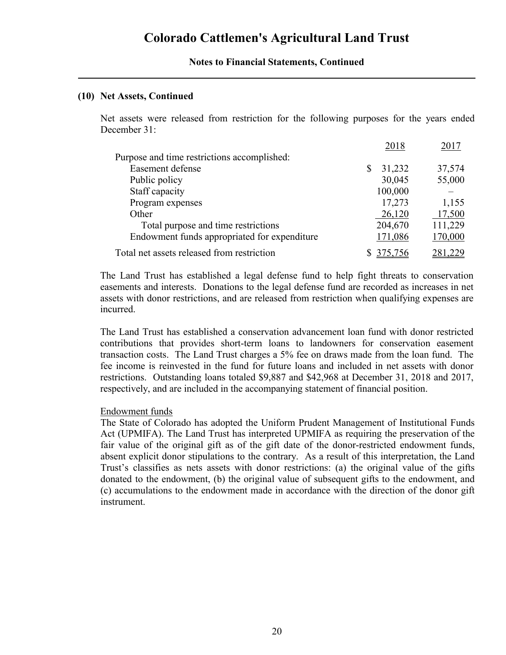#### **(10) Net Assets, Continued**

Net assets were released from restriction for the following purposes for the years ended December 31:

|                                              | 2018         | 2017    |
|----------------------------------------------|--------------|---------|
| Purpose and time restrictions accomplished:  |              |         |
| Easement defense                             | 31,232<br>\$ | 37,574  |
| Public policy                                | 30,045       | 55,000  |
| Staff capacity                               | 100,000      |         |
| Program expenses                             | 17,273       | 1,155   |
| Other                                        | 26,120       | 17,500  |
| Total purpose and time restrictions          | 204,670      | 111,229 |
| Endowment funds appropriated for expenditure | 171,086      | 170,000 |
| Total net assets released from restriction   |              |         |

The Land Trust has established a legal defense fund to help fight threats to conservation easements and interests. Donations to the legal defense fund are recorded as increases in net assets with donor restrictions, and are released from restriction when qualifying expenses are incurred.

The Land Trust has established a conservation advancement loan fund with donor restricted contributions that provides short-term loans to landowners for conservation easement transaction costs. The Land Trust charges a 5% fee on draws made from the loan fund. The fee income is reinvested in the fund for future loans and included in net assets with donor restrictions. Outstanding loans totaled \$9,887 and \$42,968 at December 31, 2018 and 2017, respectively, and are included in the accompanying statement of financial position.

#### Endowment funds

The State of Colorado has adopted the Uniform Prudent Management of Institutional Funds Act (UPMIFA). The Land Trust has interpreted UPMIFA as requiring the preservation of the fair value of the original gift as of the gift date of the donor-restricted endowment funds, absent explicit donor stipulations to the contrary. As a result of this interpretation, the Land Trust's classifies as nets assets with donor restrictions: (a) the original value of the gifts donated to the endowment, (b) the original value of subsequent gifts to the endowment, and (c) accumulations to the endowment made in accordance with the direction of the donor gift instrument.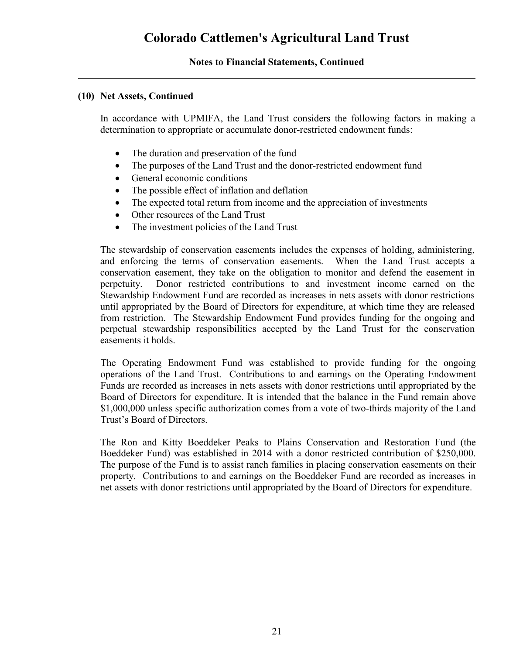### **(10) Net Assets, Continued**

In accordance with UPMIFA, the Land Trust considers the following factors in making a determination to appropriate or accumulate donor-restricted endowment funds:

- The duration and preservation of the fund
- The purposes of the Land Trust and the donor-restricted endowment fund
- General economic conditions
- The possible effect of inflation and deflation
- The expected total return from income and the appreciation of investments
- Other resources of the Land Trust
- The investment policies of the Land Trust

The stewardship of conservation easements includes the expenses of holding, administering, and enforcing the terms of conservation easements. When the Land Trust accepts a conservation easement, they take on the obligation to monitor and defend the easement in perpetuity. Donor restricted contributions to and investment income earned on the Stewardship Endowment Fund are recorded as increases in nets assets with donor restrictions until appropriated by the Board of Directors for expenditure, at which time they are released from restriction. The Stewardship Endowment Fund provides funding for the ongoing and perpetual stewardship responsibilities accepted by the Land Trust for the conservation easements it holds.

The Operating Endowment Fund was established to provide funding for the ongoing operations of the Land Trust. Contributions to and earnings on the Operating Endowment Funds are recorded as increases in nets assets with donor restrictions until appropriated by the Board of Directors for expenditure. It is intended that the balance in the Fund remain above \$1,000,000 unless specific authorization comes from a vote of two-thirds majority of the Land Trust's Board of Directors.

The Ron and Kitty Boeddeker Peaks to Plains Conservation and Restoration Fund (the Boeddeker Fund) was established in 2014 with a donor restricted contribution of \$250,000. The purpose of the Fund is to assist ranch families in placing conservation easements on their property. Contributions to and earnings on the Boeddeker Fund are recorded as increases in net assets with donor restrictions until appropriated by the Board of Directors for expenditure.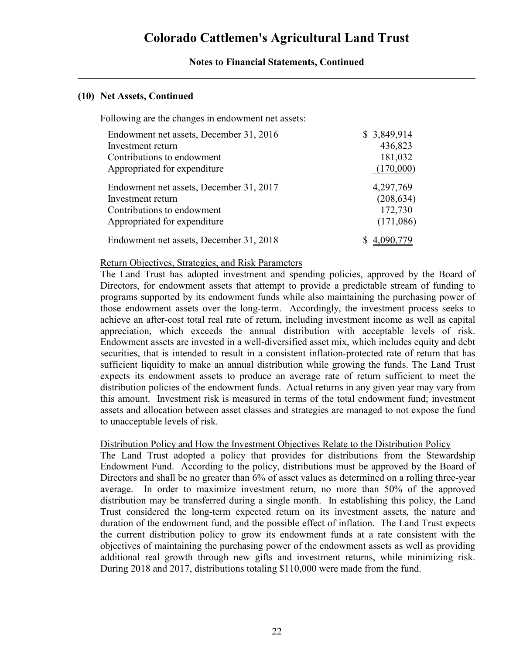#### **(10) Net Assets, Continued**

Following are the changes in endowment net assets:

| Endowment net assets, December 31, 2016 | \$3,849,914 |
|-----------------------------------------|-------------|
| Investment return                       | 436,823     |
| Contributions to endowment              | 181,032     |
| Appropriated for expenditure            | (170,000)   |
| Endowment net assets, December 31, 2017 | 4,297,769   |
| Investment return                       | (208, 634)  |
| Contributions to endowment              | 172,730     |
| Appropriated for expenditure            | (171,086)   |
| Endowment net assets, December 31, 2018 |             |

#### Return Objectives, Strategies, and Risk Parameters

The Land Trust has adopted investment and spending policies, approved by the Board of Directors, for endowment assets that attempt to provide a predictable stream of funding to programs supported by its endowment funds while also maintaining the purchasing power of those endowment assets over the long-term. Accordingly, the investment process seeks to achieve an after-cost total real rate of return, including investment income as well as capital appreciation, which exceeds the annual distribution with acceptable levels of risk. Endowment assets are invested in a well-diversified asset mix, which includes equity and debt securities, that is intended to result in a consistent inflation-protected rate of return that has sufficient liquidity to make an annual distribution while growing the funds. The Land Trust expects its endowment assets to produce an average rate of return sufficient to meet the distribution policies of the endowment funds. Actual returns in any given year may vary from this amount. Investment risk is measured in terms of the total endowment fund; investment assets and allocation between asset classes and strategies are managed to not expose the fund to unacceptable levels of risk.

#### Distribution Policy and How the Investment Objectives Relate to the Distribution Policy

The Land Trust adopted a policy that provides for distributions from the Stewardship Endowment Fund. According to the policy, distributions must be approved by the Board of Directors and shall be no greater than 6% of asset values as determined on a rolling three-year average. In order to maximize investment return, no more than 50% of the approved distribution may be transferred during a single month. In establishing this policy, the Land Trust considered the long-term expected return on its investment assets, the nature and duration of the endowment fund, and the possible effect of inflation. The Land Trust expects the current distribution policy to grow its endowment funds at a rate consistent with the objectives of maintaining the purchasing power of the endowment assets as well as providing additional real growth through new gifts and investment returns, while minimizing risk. During 2018 and 2017, distributions totaling \$110,000 were made from the fund.